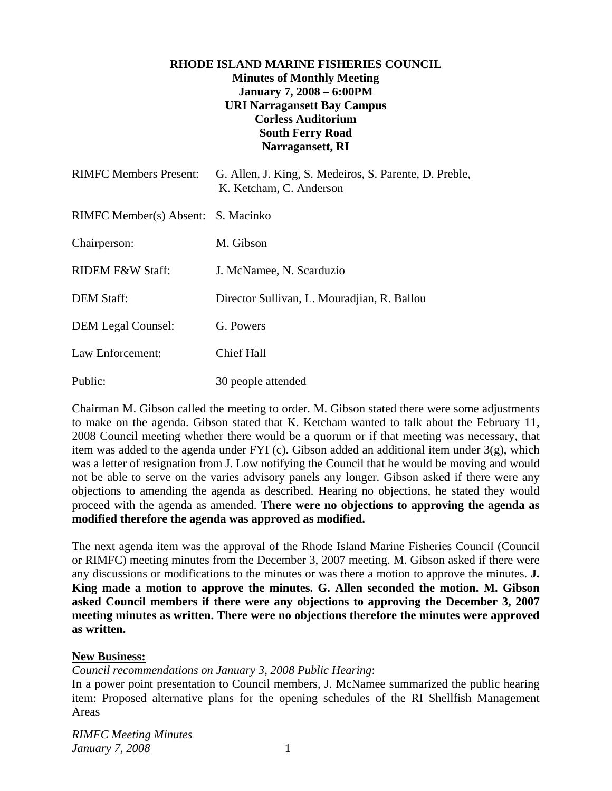# **RHODE ISLAND MARINE FISHERIES COUNCIL Minutes of Monthly Meeting January 7, 2008 – 6:00PM URI Narragansett Bay Campus Corless Auditorium South Ferry Road Narragansett, RI**

| <b>RIMFC Members Present:</b>      | G. Allen, J. King, S. Medeiros, S. Parente, D. Preble,<br>K. Ketcham, C. Anderson |
|------------------------------------|-----------------------------------------------------------------------------------|
| RIMFC Member(s) Absent: S. Macinko |                                                                                   |
| Chairperson:                       | M. Gibson                                                                         |
| RIDEM F&W Staff:                   | J. McNamee, N. Scarduzio                                                          |
| <b>DEM Staff:</b>                  | Director Sullivan, L. Mouradian, R. Ballou                                        |
| <b>DEM Legal Counsel:</b>          | G. Powers                                                                         |
| Law Enforcement:                   | <b>Chief Hall</b>                                                                 |
| Public:                            | 30 people attended                                                                |

Chairman M. Gibson called the meeting to order. M. Gibson stated there were some adjustments to make on the agenda. Gibson stated that K. Ketcham wanted to talk about the February 11, 2008 Council meeting whether there would be a quorum or if that meeting was necessary, that item was added to the agenda under FYI (c). Gibson added an additional item under  $3(g)$ , which was a letter of resignation from J. Low notifying the Council that he would be moving and would not be able to serve on the varies advisory panels any longer. Gibson asked if there were any objections to amending the agenda as described. Hearing no objections, he stated they would proceed with the agenda as amended. **There were no objections to approving the agenda as modified therefore the agenda was approved as modified.**

The next agenda item was the approval of the Rhode Island Marine Fisheries Council (Council or RIMFC) meeting minutes from the December 3, 2007 meeting. M. Gibson asked if there were any discussions or modifications to the minutes or was there a motion to approve the minutes. **J. King made a motion to approve the minutes. G. Allen seconded the motion. M. Gibson asked Council members if there were any objections to approving the December 3, 2007 meeting minutes as written. There were no objections therefore the minutes were approved as written.**

#### **New Business:**

*Council recommendations on January 3, 2008 Public Hearing*:

In a power point presentation to Council members, J. McNamee summarized the public hearing item: Proposed alternative plans for the opening schedules of the RI Shellfish Management Areas

*RIMFC Meeting Minutes January 7, 2008* 1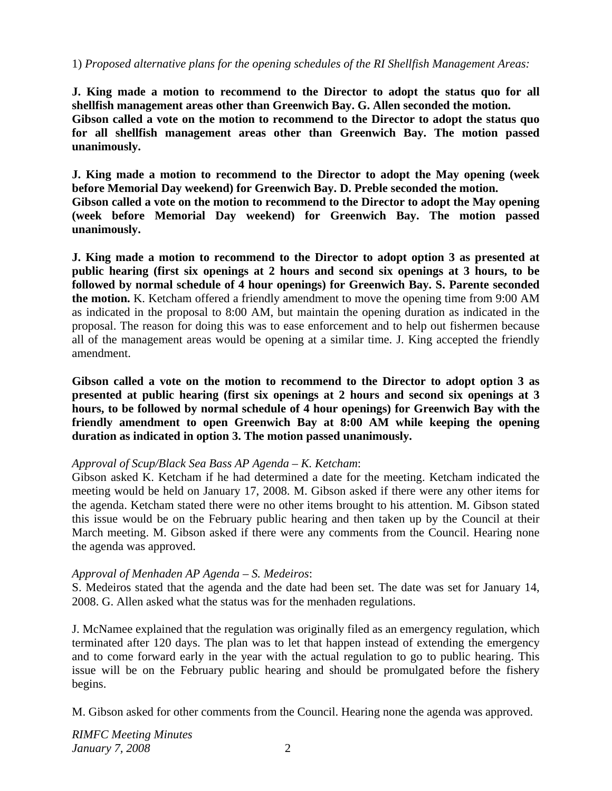#### 1) *Proposed alternative plans for the opening schedules of the RI Shellfish Management Areas:*

**J. King made a motion to recommend to the Director to adopt the status quo for all shellfish management areas other than Greenwich Bay. G. Allen seconded the motion. Gibson called a vote on the motion to recommend to the Director to adopt the status quo for all shellfish management areas other than Greenwich Bay. The motion passed unanimously.**

**J. King made a motion to recommend to the Director to adopt the May opening (week before Memorial Day weekend) for Greenwich Bay. D. Preble seconded the motion. Gibson called a vote on the motion to recommend to the Director to adopt the May opening (week before Memorial Day weekend) for Greenwich Bay. The motion passed unanimously.** 

**J. King made a motion to recommend to the Director to adopt option 3 as presented at public hearing (first six openings at 2 hours and second six openings at 3 hours, to be followed by normal schedule of 4 hour openings) for Greenwich Bay. S. Parente seconded the motion.** K. Ketcham offered a friendly amendment to move the opening time from 9:00 AM as indicated in the proposal to 8:00 AM, but maintain the opening duration as indicated in the proposal. The reason for doing this was to ease enforcement and to help out fishermen because all of the management areas would be opening at a similar time. J. King accepted the friendly amendment.

**Gibson called a vote on the motion to recommend to the Director to adopt option 3 as presented at public hearing (first six openings at 2 hours and second six openings at 3 hours, to be followed by normal schedule of 4 hour openings) for Greenwich Bay with the friendly amendment to open Greenwich Bay at 8:00 AM while keeping the opening duration as indicated in option 3. The motion passed unanimously.**

#### *Approval of Scup/Black Sea Bass AP Agenda – K. Ketcham*:

Gibson asked K. Ketcham if he had determined a date for the meeting. Ketcham indicated the meeting would be held on January 17, 2008. M. Gibson asked if there were any other items for the agenda. Ketcham stated there were no other items brought to his attention. M. Gibson stated this issue would be on the February public hearing and then taken up by the Council at their March meeting. M. Gibson asked if there were any comments from the Council. Hearing none the agenda was approved.

#### *Approval of Menhaden AP Agenda – S. Medeiros*:

S. Medeiros stated that the agenda and the date had been set. The date was set for January 14, 2008. G. Allen asked what the status was for the menhaden regulations.

J. McNamee explained that the regulation was originally filed as an emergency regulation, which terminated after 120 days. The plan was to let that happen instead of extending the emergency and to come forward early in the year with the actual regulation to go to public hearing. This issue will be on the February public hearing and should be promulgated before the fishery begins.

M. Gibson asked for other comments from the Council. Hearing none the agenda was approved.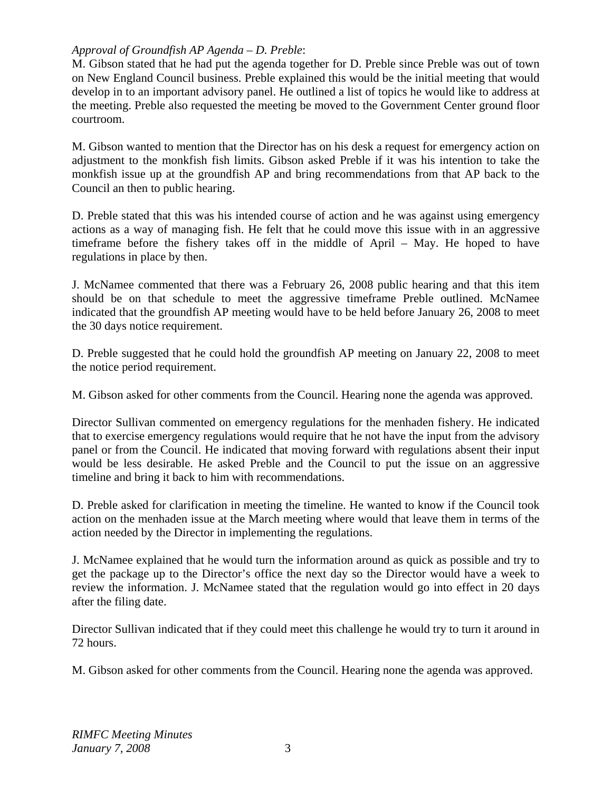# *Approval of Groundfish AP Agenda – D. Preble*:

M. Gibson stated that he had put the agenda together for D. Preble since Preble was out of town on New England Council business. Preble explained this would be the initial meeting that would develop in to an important advisory panel. He outlined a list of topics he would like to address at the meeting. Preble also requested the meeting be moved to the Government Center ground floor courtroom.

M. Gibson wanted to mention that the Director has on his desk a request for emergency action on adjustment to the monkfish fish limits. Gibson asked Preble if it was his intention to take the monkfish issue up at the groundfish AP and bring recommendations from that AP back to the Council an then to public hearing.

D. Preble stated that this was his intended course of action and he was against using emergency actions as a way of managing fish. He felt that he could move this issue with in an aggressive timeframe before the fishery takes off in the middle of April – May. He hoped to have regulations in place by then.

J. McNamee commented that there was a February 26, 2008 public hearing and that this item should be on that schedule to meet the aggressive timeframe Preble outlined. McNamee indicated that the groundfish AP meeting would have to be held before January 26, 2008 to meet the 30 days notice requirement.

D. Preble suggested that he could hold the groundfish AP meeting on January 22, 2008 to meet the notice period requirement.

M. Gibson asked for other comments from the Council. Hearing none the agenda was approved.

Director Sullivan commented on emergency regulations for the menhaden fishery. He indicated that to exercise emergency regulations would require that he not have the input from the advisory panel or from the Council. He indicated that moving forward with regulations absent their input would be less desirable. He asked Preble and the Council to put the issue on an aggressive timeline and bring it back to him with recommendations.

D. Preble asked for clarification in meeting the timeline. He wanted to know if the Council took action on the menhaden issue at the March meeting where would that leave them in terms of the action needed by the Director in implementing the regulations.

J. McNamee explained that he would turn the information around as quick as possible and try to get the package up to the Director's office the next day so the Director would have a week to review the information. J. McNamee stated that the regulation would go into effect in 20 days after the filing date.

Director Sullivan indicated that if they could meet this challenge he would try to turn it around in 72 hours.

M. Gibson asked for other comments from the Council. Hearing none the agenda was approved.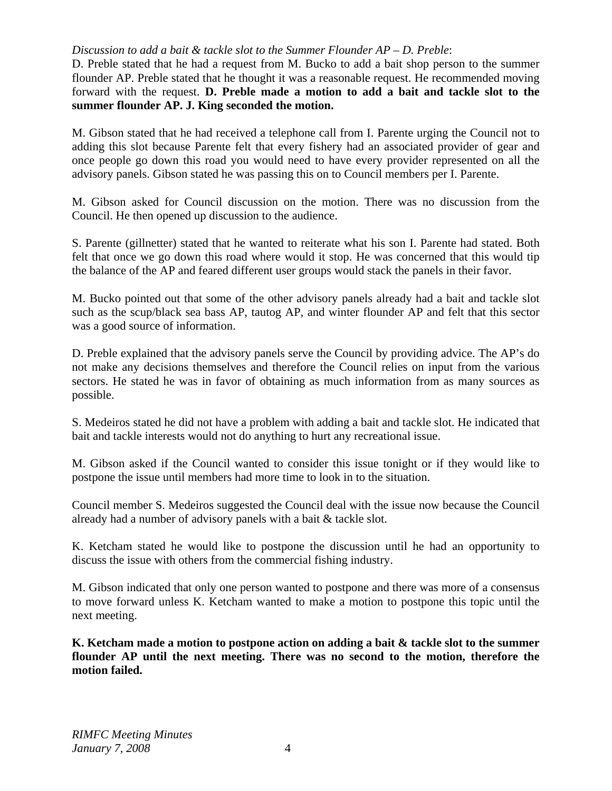## *Discussion to add a bait & tackle slot to the Summer Flounder AP – D. Preble*:

D. Preble stated that he had a request from M. Bucko to add a bait shop person to the summer flounder AP. Preble stated that he thought it was a reasonable request. He recommended moving forward with the request. **D. Preble made a motion to add a bait and tackle slot to the summer flounder AP. J. King seconded the motion.**

M. Gibson stated that he had received a telephone call from I. Parente urging the Council not to adding this slot because Parente felt that every fishery had an associated provider of gear and once people go down this road you would need to have every provider represented on all the advisory panels. Gibson stated he was passing this on to Council members per I. Parente.

M. Gibson asked for Council discussion on the motion. There was no discussion from the Council. He then opened up discussion to the audience.

S. Parente (gillnetter) stated that he wanted to reiterate what his son I. Parente had stated. Both felt that once we go down this road where would it stop. He was concerned that this would tip the balance of the AP and feared different user groups would stack the panels in their favor.

M. Bucko pointed out that some of the other advisory panels already had a bait and tackle slot such as the scup/black sea bass AP, tautog AP, and winter flounder AP and felt that this sector was a good source of information.

D. Preble explained that the advisory panels serve the Council by providing advice. The AP's do not make any decisions themselves and therefore the Council relies on input from the various sectors. He stated he was in favor of obtaining as much information from as many sources as possible.

S. Medeiros stated he did not have a problem with adding a bait and tackle slot. He indicated that bait and tackle interests would not do anything to hurt any recreational issue.

M. Gibson asked if the Council wanted to consider this issue tonight or if they would like to postpone the issue until members had more time to look in to the situation.

Council member S. Medeiros suggested the Council deal with the issue now because the Council already had a number of advisory panels with a bait & tackle slot.

K. Ketcham stated he would like to postpone the discussion until he had an opportunity to discuss the issue with others from the commercial fishing industry.

M. Gibson indicated that only one person wanted to postpone and there was more of a consensus to move forward unless K. Ketcham wanted to make a motion to postpone this topic until the next meeting.

**K. Ketcham made a motion to postpone action on adding a bait & tackle slot to the summer flounder AP until the next meeting. There was no second to the motion, therefore the motion failed.**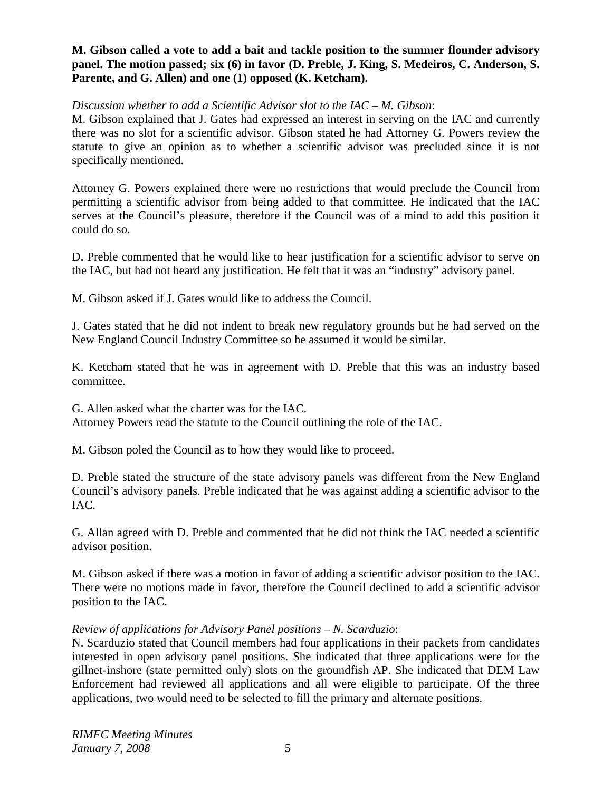## **M. Gibson called a vote to add a bait and tackle position to the summer flounder advisory panel. The motion passed; six (6) in favor (D. Preble, J. King, S. Medeiros, C. Anderson, S. Parente, and G. Allen) and one (1) opposed (K. Ketcham).**

#### *Discussion whether to add a Scientific Advisor slot to the IAC – M. Gibson*:

M. Gibson explained that J. Gates had expressed an interest in serving on the IAC and currently there was no slot for a scientific advisor. Gibson stated he had Attorney G. Powers review the statute to give an opinion as to whether a scientific advisor was precluded since it is not specifically mentioned.

Attorney G. Powers explained there were no restrictions that would preclude the Council from permitting a scientific advisor from being added to that committee. He indicated that the IAC serves at the Council's pleasure, therefore if the Council was of a mind to add this position it could do so.

D. Preble commented that he would like to hear justification for a scientific advisor to serve on the IAC, but had not heard any justification. He felt that it was an "industry" advisory panel.

M. Gibson asked if J. Gates would like to address the Council.

J. Gates stated that he did not indent to break new regulatory grounds but he had served on the New England Council Industry Committee so he assumed it would be similar.

K. Ketcham stated that he was in agreement with D. Preble that this was an industry based committee.

G. Allen asked what the charter was for the IAC.

Attorney Powers read the statute to the Council outlining the role of the IAC.

M. Gibson poled the Council as to how they would like to proceed.

D. Preble stated the structure of the state advisory panels was different from the New England Council's advisory panels. Preble indicated that he was against adding a scientific advisor to the IAC.

G. Allan agreed with D. Preble and commented that he did not think the IAC needed a scientific advisor position.

M. Gibson asked if there was a motion in favor of adding a scientific advisor position to the IAC. There were no motions made in favor, therefore the Council declined to add a scientific advisor position to the IAC.

# *Review of applications for Advisory Panel positions – N. Scarduzio*:

N. Scarduzio stated that Council members had four applications in their packets from candidates interested in open advisory panel positions. She indicated that three applications were for the gillnet-inshore (state permitted only) slots on the groundfish AP. She indicated that DEM Law Enforcement had reviewed all applications and all were eligible to participate. Of the three applications, two would need to be selected to fill the primary and alternate positions.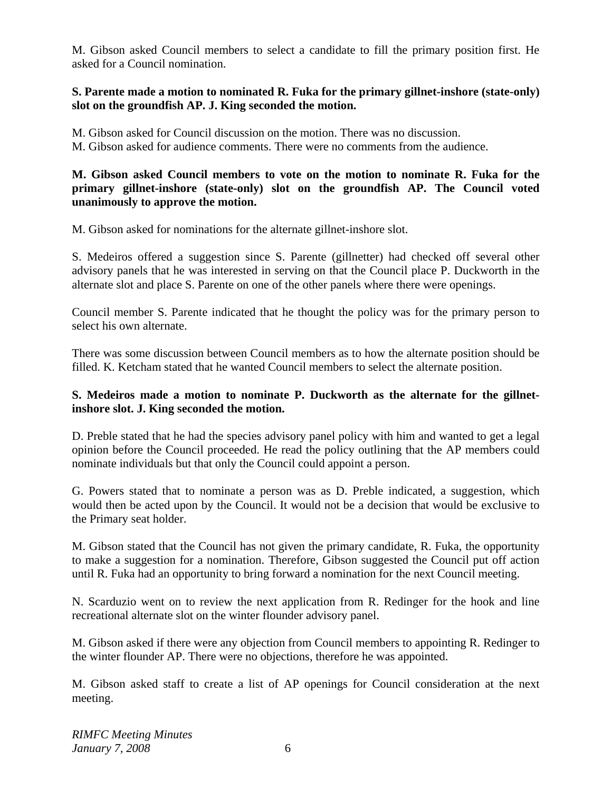M. Gibson asked Council members to select a candidate to fill the primary position first. He asked for a Council nomination.

## **S. Parente made a motion to nominated R. Fuka for the primary gillnet-inshore (state-only) slot on the groundfish AP. J. King seconded the motion.**

M. Gibson asked for Council discussion on the motion. There was no discussion.

M. Gibson asked for audience comments. There were no comments from the audience.

## **M. Gibson asked Council members to vote on the motion to nominate R. Fuka for the primary gillnet-inshore (state-only) slot on the groundfish AP. The Council voted unanimously to approve the motion.**

M. Gibson asked for nominations for the alternate gillnet-inshore slot.

S. Medeiros offered a suggestion since S. Parente (gillnetter) had checked off several other advisory panels that he was interested in serving on that the Council place P. Duckworth in the alternate slot and place S. Parente on one of the other panels where there were openings.

Council member S. Parente indicated that he thought the policy was for the primary person to select his own alternate.

There was some discussion between Council members as to how the alternate position should be filled. K. Ketcham stated that he wanted Council members to select the alternate position.

# **S. Medeiros made a motion to nominate P. Duckworth as the alternate for the gillnetinshore slot. J. King seconded the motion.**

D. Preble stated that he had the species advisory panel policy with him and wanted to get a legal opinion before the Council proceeded. He read the policy outlining that the AP members could nominate individuals but that only the Council could appoint a person.

G. Powers stated that to nominate a person was as D. Preble indicated, a suggestion, which would then be acted upon by the Council. It would not be a decision that would be exclusive to the Primary seat holder.

M. Gibson stated that the Council has not given the primary candidate, R. Fuka, the opportunity to make a suggestion for a nomination. Therefore, Gibson suggested the Council put off action until R. Fuka had an opportunity to bring forward a nomination for the next Council meeting.

N. Scarduzio went on to review the next application from R. Redinger for the hook and line recreational alternate slot on the winter flounder advisory panel.

M. Gibson asked if there were any objection from Council members to appointing R. Redinger to the winter flounder AP. There were no objections, therefore he was appointed.

M. Gibson asked staff to create a list of AP openings for Council consideration at the next meeting.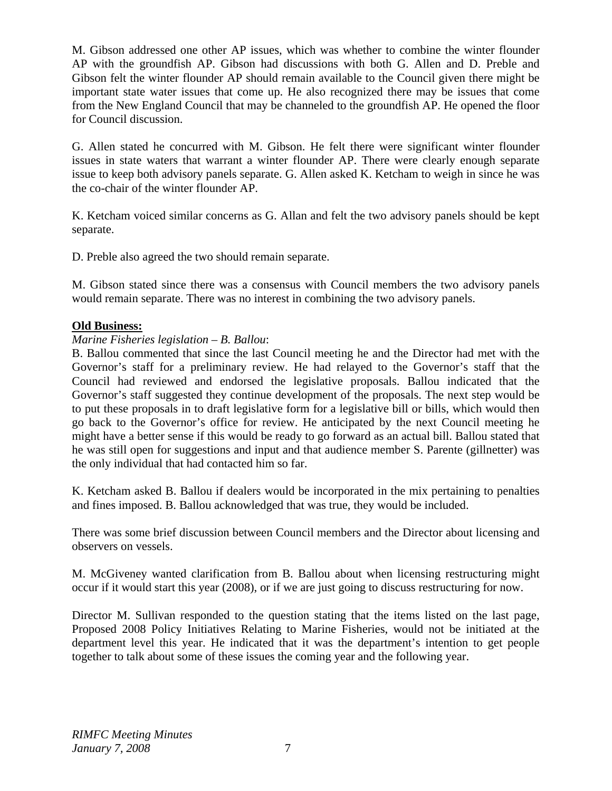M. Gibson addressed one other AP issues, which was whether to combine the winter flounder AP with the groundfish AP. Gibson had discussions with both G. Allen and D. Preble and Gibson felt the winter flounder AP should remain available to the Council given there might be important state water issues that come up. He also recognized there may be issues that come from the New England Council that may be channeled to the groundfish AP. He opened the floor for Council discussion.

G. Allen stated he concurred with M. Gibson. He felt there were significant winter flounder issues in state waters that warrant a winter flounder AP. There were clearly enough separate issue to keep both advisory panels separate. G. Allen asked K. Ketcham to weigh in since he was the co-chair of the winter flounder AP.

K. Ketcham voiced similar concerns as G. Allan and felt the two advisory panels should be kept separate.

D. Preble also agreed the two should remain separate.

M. Gibson stated since there was a consensus with Council members the two advisory panels would remain separate. There was no interest in combining the two advisory panels.

# **Old Business:**

# *Marine Fisheries legislation – B. Ballou*:

B. Ballou commented that since the last Council meeting he and the Director had met with the Governor's staff for a preliminary review. He had relayed to the Governor's staff that the Council had reviewed and endorsed the legislative proposals. Ballou indicated that the Governor's staff suggested they continue development of the proposals. The next step would be to put these proposals in to draft legislative form for a legislative bill or bills, which would then go back to the Governor's office for review. He anticipated by the next Council meeting he might have a better sense if this would be ready to go forward as an actual bill. Ballou stated that he was still open for suggestions and input and that audience member S. Parente (gillnetter) was the only individual that had contacted him so far.

K. Ketcham asked B. Ballou if dealers would be incorporated in the mix pertaining to penalties and fines imposed. B. Ballou acknowledged that was true, they would be included.

There was some brief discussion between Council members and the Director about licensing and observers on vessels.

M. McGiveney wanted clarification from B. Ballou about when licensing restructuring might occur if it would start this year (2008), or if we are just going to discuss restructuring for now.

Director M. Sullivan responded to the question stating that the items listed on the last page, Proposed 2008 Policy Initiatives Relating to Marine Fisheries, would not be initiated at the department level this year. He indicated that it was the department's intention to get people together to talk about some of these issues the coming year and the following year.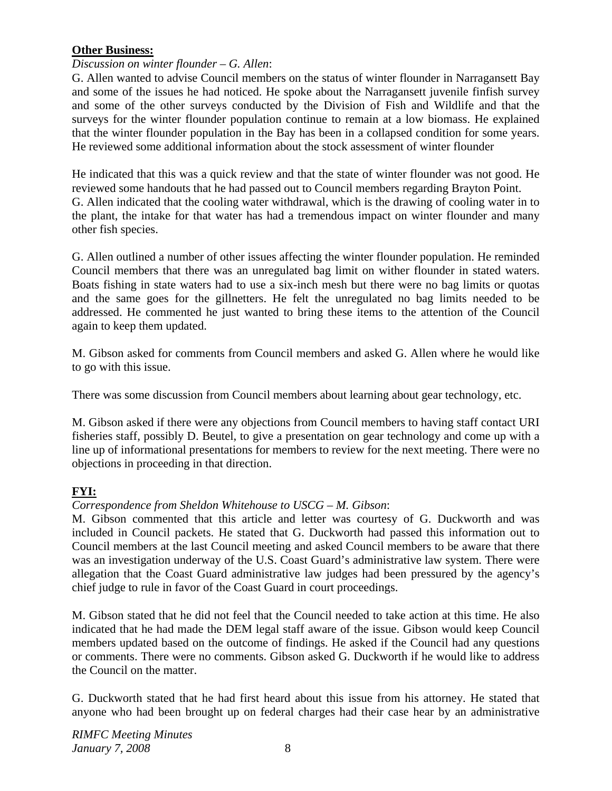# **Other Business:**

## *Discussion on winter flounder – G. Allen*:

G. Allen wanted to advise Council members on the status of winter flounder in Narragansett Bay and some of the issues he had noticed. He spoke about the Narragansett juvenile finfish survey and some of the other surveys conducted by the Division of Fish and Wildlife and that the surveys for the winter flounder population continue to remain at a low biomass. He explained that the winter flounder population in the Bay has been in a collapsed condition for some years. He reviewed some additional information about the stock assessment of winter flounder

He indicated that this was a quick review and that the state of winter flounder was not good. He reviewed some handouts that he had passed out to Council members regarding Brayton Point. G. Allen indicated that the cooling water withdrawal, which is the drawing of cooling water in to the plant, the intake for that water has had a tremendous impact on winter flounder and many other fish species.

G. Allen outlined a number of other issues affecting the winter flounder population. He reminded Council members that there was an unregulated bag limit on wither flounder in stated waters. Boats fishing in state waters had to use a six-inch mesh but there were no bag limits or quotas and the same goes for the gillnetters. He felt the unregulated no bag limits needed to be addressed. He commented he just wanted to bring these items to the attention of the Council again to keep them updated.

M. Gibson asked for comments from Council members and asked G. Allen where he would like to go with this issue.

There was some discussion from Council members about learning about gear technology, etc.

M. Gibson asked if there were any objections from Council members to having staff contact URI fisheries staff, possibly D. Beutel, to give a presentation on gear technology and come up with a line up of informational presentations for members to review for the next meeting. There were no objections in proceeding in that direction.

# **FYI:**

# *Correspondence from Sheldon Whitehouse to USCG – M. Gibson*:

M. Gibson commented that this article and letter was courtesy of G. Duckworth and was included in Council packets. He stated that G. Duckworth had passed this information out to Council members at the last Council meeting and asked Council members to be aware that there was an investigation underway of the U.S. Coast Guard's administrative law system. There were allegation that the Coast Guard administrative law judges had been pressured by the agency's chief judge to rule in favor of the Coast Guard in court proceedings.

M. Gibson stated that he did not feel that the Council needed to take action at this time. He also indicated that he had made the DEM legal staff aware of the issue. Gibson would keep Council members updated based on the outcome of findings. He asked if the Council had any questions or comments. There were no comments. Gibson asked G. Duckworth if he would like to address the Council on the matter.

G. Duckworth stated that he had first heard about this issue from his attorney. He stated that anyone who had been brought up on federal charges had their case hear by an administrative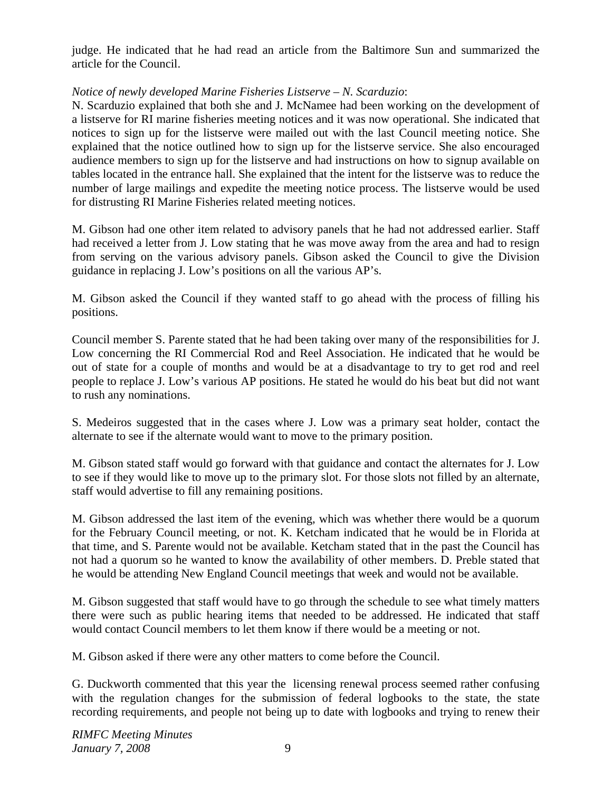judge. He indicated that he had read an article from the Baltimore Sun and summarized the article for the Council.

# *Notice of newly developed Marine Fisheries Listserve – N. Scarduzio*:

N. Scarduzio explained that both she and J. McNamee had been working on the development of a listserve for RI marine fisheries meeting notices and it was now operational. She indicated that notices to sign up for the listserve were mailed out with the last Council meeting notice. She explained that the notice outlined how to sign up for the listserve service. She also encouraged audience members to sign up for the listserve and had instructions on how to signup available on tables located in the entrance hall. She explained that the intent for the listserve was to reduce the number of large mailings and expedite the meeting notice process. The listserve would be used for distrusting RI Marine Fisheries related meeting notices.

M. Gibson had one other item related to advisory panels that he had not addressed earlier. Staff had received a letter from J. Low stating that he was move away from the area and had to resign from serving on the various advisory panels. Gibson asked the Council to give the Division guidance in replacing J. Low's positions on all the various AP's.

M. Gibson asked the Council if they wanted staff to go ahead with the process of filling his positions.

Council member S. Parente stated that he had been taking over many of the responsibilities for J. Low concerning the RI Commercial Rod and Reel Association. He indicated that he would be out of state for a couple of months and would be at a disadvantage to try to get rod and reel people to replace J. Low's various AP positions. He stated he would do his beat but did not want to rush any nominations.

S. Medeiros suggested that in the cases where J. Low was a primary seat holder, contact the alternate to see if the alternate would want to move to the primary position.

M. Gibson stated staff would go forward with that guidance and contact the alternates for J. Low to see if they would like to move up to the primary slot. For those slots not filled by an alternate, staff would advertise to fill any remaining positions.

M. Gibson addressed the last item of the evening, which was whether there would be a quorum for the February Council meeting, or not. K. Ketcham indicated that he would be in Florida at that time, and S. Parente would not be available. Ketcham stated that in the past the Council has not had a quorum so he wanted to know the availability of other members. D. Preble stated that he would be attending New England Council meetings that week and would not be available.

M. Gibson suggested that staff would have to go through the schedule to see what timely matters there were such as public hearing items that needed to be addressed. He indicated that staff would contact Council members to let them know if there would be a meeting or not.

M. Gibson asked if there were any other matters to come before the Council.

G. Duckworth commented that this year the licensing renewal process seemed rather confusing with the regulation changes for the submission of federal logbooks to the state, the state recording requirements, and people not being up to date with logbooks and trying to renew their